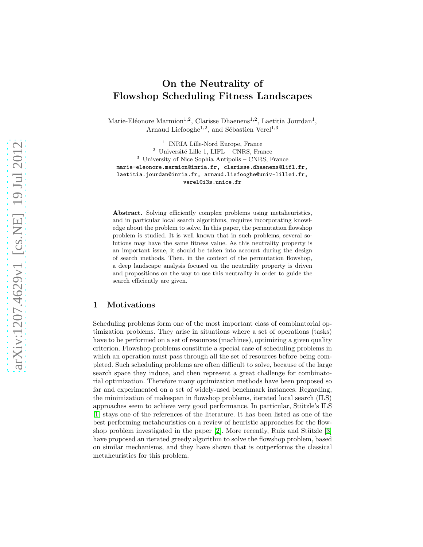# On the Neutrality of Flowshop Scheduling Fitness Landscapes

Marie-Eléonore Marmion<sup>1,2</sup>, Clarisse Dhaenens<sup>1,2</sup>, Laetitia Jourdan<sup>1</sup>, Arnaud Liefooghe<sup>1,2</sup>, and Sébastien Verel<sup>1,3</sup>

<sup>1</sup> INRIA Lille-Nord Europe, France  $^2$  Université Lille 1, LIFL – CNRS, France <sup>3</sup> University of Nice Sophia Antipolis – CNRS, France marie-eleonore.marmion@inria.fr, clarisse.dhaenens@lifl.fr, laetitia.jourdan@inria.fr, arnaud.liefooghe@univ-lille1.fr, verel@i3s.unice.fr

Abstract. Solving efficiently complex problems using metaheuristics, and in particular local search algorithms, requires incorporating knowledge about the problem to solve. In this paper, the permutation flowshop problem is studied. It is well known that in such problems, several solutions may have the same fitness value. As this neutrality property is an important issue, it should be taken into account during the design of search methods. Then, in the context of the permutation flowshop, a deep landscape analysis focused on the neutrality property is driven and propositions on the way to use this neutrality in order to guide the search efficiently are given.

## 1 Motivations

Scheduling problems form one of the most important class of combinatorial optimization problems. They arise in situations where a set of operations (tasks) have to be performed on a set of resources (machines), optimizing a given quality criterion. Flowshop problems constitute a special case of scheduling problems in which an operation must pass through all the set of resources before being completed. Such scheduling problems are often difficult to solve, because of the large search space they induce, and then represent a great challenge for combinatorial optimization. Therefore many optimization methods have been proposed so far and experimented on a set of widely-used benchmark instances. Regarding, the minimization of makespan in flowshop problems, iterated local search (ILS) approaches seem to achieve very good performance. In particular, Stützle's ILS [\[1\]](#page-13-0) stays one of the references of the literature. It has been listed as one of the best performing metaheuristics on a review of heuristic approaches for the flowshop problem investigated in the paper  $[2]$ . More recently, Ruiz and Stützle  $[3]$ have proposed an iterated greedy algorithm to solve the flowshop problem, based on similar mechanisms, and they have shown that is outperforms the classical metaheuristics for this problem.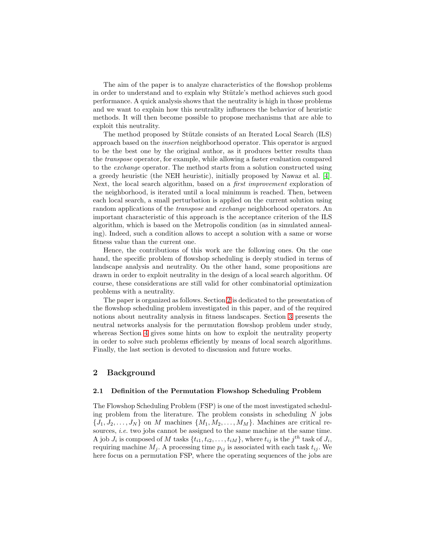The aim of the paper is to analyze characteristics of the flowshop problems in order to understand and to explain why Stützle's method achieves such good performance. A quick analysis shows that the neutrality is high in those problems and we want to explain how this neutrality influences the behavior of heuristic methods. It will then become possible to propose mechanisms that are able to exploit this neutrality.

The method proposed by Stützle consists of an Iterated Local Search (ILS) approach based on the insertion neighborhood operator. This operator is argued to be the best one by the original author, as it produces better results than the transpose operator, for example, while allowing a faster evaluation compared to the exchange operator. The method starts from a solution constructed using a greedy heuristic (the NEH heuristic), initially proposed by Nawaz et al. [\[4\]](#page-13-3). Next, the local search algorithm, based on a *first improvement* exploration of the neighborhood, is iterated until a local minimum is reached. Then, between each local search, a small perturbation is applied on the current solution using random applications of the *transpose* and *exchange* neighborhood operators. An important characteristic of this approach is the acceptance criterion of the ILS algorithm, which is based on the Metropolis condition (as in simulated annealing). Indeed, such a condition allows to accept a solution with a same or worse fitness value than the current one.

Hence, the contributions of this work are the following ones. On the one hand, the specific problem of flowshop scheduling is deeply studied in terms of landscape analysis and neutrality. On the other hand, some propositions are drawn in order to exploit neutrality in the design of a local search algorithm. Of course, these considerations are still valid for other combinatorial optimization problems with a neutrality.

The paper is organized as follows. Section [2](#page-1-0) is dedicated to the presentation of the flowshop scheduling problem investigated in this paper, and of the required notions about neutrality analysis in fitness landscapes. Section [3](#page-5-0) presents the neutral networks analysis for the permutation flowshop problem under study, whereas Section [4](#page-9-0) gives some hints on how to exploit the neutrality property in order to solve such problems efficiently by means of local search algorithms. Finally, the last section is devoted to discussion and future works.

# <span id="page-1-0"></span>2 Background

#### 2.1 Definition of the Permutation Flowshop Scheduling Problem

The Flowshop Scheduling Problem (FSP) is one of the most investigated scheduling problem from the literature. The problem consists in scheduling  $N$  jobs  $\{J_1, J_2, \ldots, J_N\}$  on M machines  $\{M_1, M_2, \ldots, M_M\}$ . Machines are critical resources, *i.e.* two jobs cannot be assigned to the same machine at the same time. A job  $J_i$  is composed of M tasks  $\{t_{i1}, t_{i2}, \ldots, t_{iM}\}$ , where  $t_{ij}$  is the  $j^{th}$  task of  $J_i$ , requiring machine  $M_j$ . A processing time  $p_{ij}$  is associated with each task  $t_{ij}$ . We here focus on a permutation FSP, where the operating sequences of the jobs are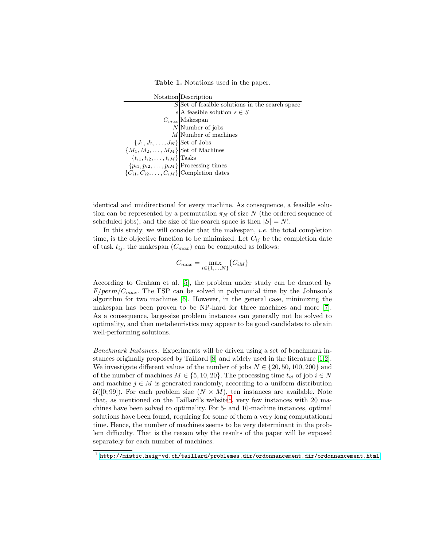Table 1. Notations used in the paper.

|                                                        | Notation Description                              |
|--------------------------------------------------------|---------------------------------------------------|
|                                                        | $S$ Set of feasible solutions in the search space |
|                                                        | s A feasible solution $s \in S$                   |
|                                                        | $C_{max}$ Makespan                                |
|                                                        | $N$ Number of jobs                                |
|                                                        | $M$ Number of machines                            |
| $\{J_1, J_2, \ldots, J_N\}$ Set of Jobs                |                                                   |
| ${M_1, M_2, \ldots, M_M}$ Set of Machines              |                                                   |
| ${t_{i1}, t_{i2}, \ldots, t_{iM}}$ Tasks               |                                                   |
| $\{p_{i1}, p_{i2}, \ldots, p_{iM}\}\$ Processing times |                                                   |
| ${C_{i1}, C_{i2}, \ldots, C_{iM}}$ Completion dates    |                                                   |

identical and unidirectional for every machine. As consequence, a feasible solution can be represented by a permutation  $\pi_N$  of size N (the ordered sequence of scheduled jobs), and the size of the search space is then  $|S| = N!$ .

In this study, we will consider that the makespan, *i.e.* the total completion time, is the objective function to be minimized. Let  $C_{ij}$  be the completion date of task  $t_{ij}$ , the makespan  $(C_{max})$  can be computed as follows:

 $C_{max} = \max_{i \in \{1, ..., N\}} \{C_{iM}\}$ 

According to Graham et al. [\[5\]](#page-13-4), the problem under study can be denoted by  $F/perm/C_{max}$ . The FSP can be solved in polynomial time by the Johnson's algorithm for two machines [\[6\]](#page-13-5). However, in the general case, minimizing the makespan has been proven to be NP-hard for three machines and more [\[7\]](#page-13-6). As a consequence, large-size problem instances can generally not be solved to optimality, and then metaheuristics may appear to be good candidates to obtain well-performing solutions.

Benchmark Instances. Experiments will be driven using a set of benchmark instances originally proposed by Taillard [\[8\]](#page-14-0) and widely used in the literature [\[1](#page-13-0)[,2\]](#page-13-1). We investigate different values of the number of jobs  $N \in \{20, 50, 100, 200\}$  and of the number of machines  $M \in \{5, 10, 20\}$ . The processing time  $t_{ij}$  of job  $i \in N$ and machine  $j \in M$  is generated randomly, according to a uniform distribution  $\mathcal{U}([0, 99])$ . For each problem size  $(N \times M)$ , ten instances are available. Note that, as mentioned on the Taillard's website<sup>[1](#page-2-0)</sup>, very few instances with 20 machines have been solved to optimality. For 5- and 10-machine instances, optimal solutions have been found, requiring for some of them a very long computational time. Hence, the number of machines seems to be very determinant in the problem difficulty. That is the reason why the results of the paper will be exposed separately for each number of machines.

<span id="page-2-0"></span><sup>&</sup>lt;sup>1</sup> <http://mistic.heig-vd.ch/taillard/problemes.dir/ordonnancement.dir/ordonnancement.html>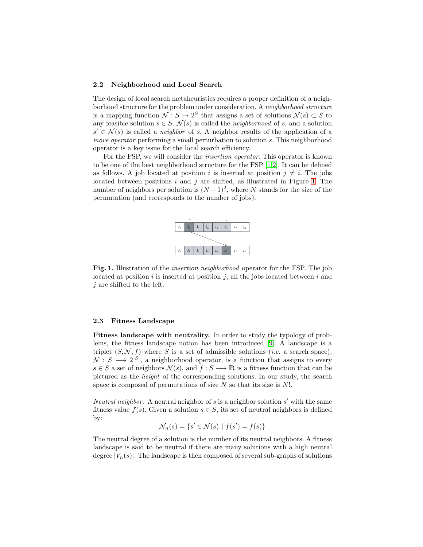#### 2.2 Neighborhood and Local Search

The design of local search metaheuristics requires a proper definition of a neighborhood structure for the problem under consideration. A neighborhood structure is a mapping function  $\mathcal{N}: S \to 2^S$  that assigns a set of solutions  $\mathcal{N}(s) \subset S$  to any feasible solution  $s \in S$ .  $\mathcal{N}(s)$  is called the *neighborhood* of s, and a solution  $s' \in \mathcal{N}(s)$  is called a *neighbor* of s. A neighbor results of the application of a move operator performing a small perturbation to solution s. This neighborhood operator is a key issue for the local search efficiency.

For the FSP, we will consider the insertion operator. This operator is known to be one of the best neighborhood structure for the FSP [\[1,](#page-13-0)[2\]](#page-13-1). It can be defined as follows. A job located at position i is inserted at position  $j \neq i$ . The jobs located between positions  $i$  and  $j$  are shifted, as illustrated in Figure [1.](#page-3-0) The number of neighbors per solution is  $(N-1)^2$ , where N stands for the size of the permutation (and corresponds to the number of jobs).



<span id="page-3-0"></span>Fig. 1. Illustration of the insertion neighborhood operator for the FSP. The job located at position  $i$  is inserted at position  $j$ , all the jobs located between  $i$  and  $j$  are shifted to the left.

#### 2.3 Fitness Landscape

Fitness landscape with neutrality. In order to study the typology of problems, the fitness landscape notion has been introduced [\[9\]](#page-14-1). A landscape is a triplet  $(S, \mathcal{N}, f)$  where S is a set of admissible solutions *(i.e.* a search space),  $\mathcal{N}: S \longrightarrow 2^{|S|}$ , a neighborhood operator, is a function that assigns to every  $s \in S$  a set of neighbors  $\mathcal{N}(s)$ , and  $f : S \longrightarrow \mathbb{R}$  is a fitness function that can be pictured as the height of the corresponding solutions. In our study, the search space is composed of permutations of size  $N$  so that its size is  $N!$ .

Neutral neighbor. A neutral neighbor of  $s$  is a neighbor solution  $s'$  with the same fitness value  $f(s)$ . Given a solution  $s \in S$ , its set of neutral neighbors is defined by:

$$
\mathcal{N}_n(s) = \{ s' \in \mathcal{N}(s) \mid f(s') = f(s) \}
$$

The neutral degree of a solution is the number of its neutral neighbors. A fitness landscape is said to be neutral if there are many solutions with a high neutral degree  $|V_n(s)|$ . The landscape is then composed of several sub-graphs of solutions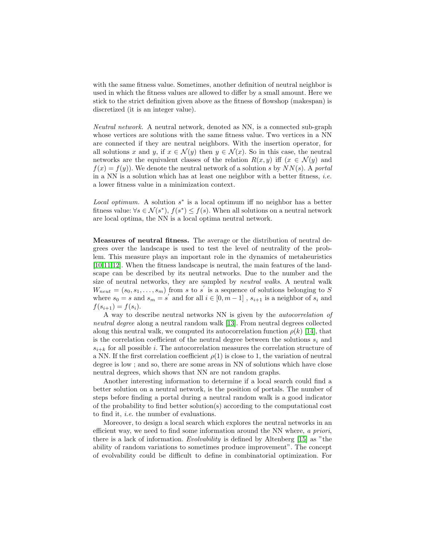with the same fitness value. Sometimes, another definition of neutral neighbor is used in which the fitness values are allowed to differ by a small amount. Here we stick to the strict definition given above as the fitness of flowshop (makespan) is discretized (it is an integer value).

Neutral network. A neutral network, denoted as NN, is a connected sub-graph whose vertices are solutions with the same fitness value. Two vertices in a NN are connected if they are neutral neighbors. With the insertion operator, for all solutions x and y, if  $x \in \mathcal{N}(y)$  then  $y \in \mathcal{N}(x)$ . So in this case, the neutral networks are the equivalent classes of the relation  $R(x, y)$  iff  $(x \in \mathcal{N}(y)$  and  $f(x) = f(y)$ . We denote the neutral network of a solution s by  $NN(s)$ . A portal in a NN is a solution which has at least one neighbor with a better fitness, i.e. a lower fitness value in a minimization context.

Local optimum. A solution  $s^*$  is a local optimum iff no neighbor has a better fitness value:  $\forall s \in \mathcal{N}(s^*)$ ,  $f(s^*) \leq f(s)$ . When all solutions on a neutral network are local optima, the NN is a local optima neutral network.

<span id="page-4-0"></span>Measures of neutral fitness. The average or the distribution of neutral degrees over the landscape is used to test the level of neutrality of the problem. This measure plays an important role in the dynamics of metaheuristics [\[10](#page-14-2)[,11](#page-14-3)[,12\]](#page-14-4). When the fitness landscape is neutral, the main features of the landscape can be described by its neutral networks. Due to the number and the size of neutral networks, they are sampled by *neutral walks*. A neutral walk  $W_{neut} = (s_0, s_1, \ldots, s_m)$  from s to s' is a sequence of solutions belonging to S where  $s_0 = s$  and  $s_m = s$  and for all  $i \in [0, m-1]$ ,  $s_{i+1}$  is a neighbor of  $s_i$  and  $f(s_{i+1}) = f(s_i).$ 

A way to describe neutral networks NN is given by the autocorrelation of neutral degree along a neutral random walk [\[13\]](#page-14-5). From neutral degrees collected along this neutral walk, we computed its autocorrelation function  $\rho(k)$  [\[14\]](#page-14-6), that is the correlation coefficient of the neutral degree between the solutions  $s_i$  and  $s_{i+k}$  for all possible i. The autocorrelation measures the correlation structure of a NN. If the first correlation coefficient  $\rho(1)$  is close to 1, the variation of neutral degree is low ; and so, there are some areas in NN of solutions which have close neutral degrees, which shows that NN are not random graphs.

Another interesting information to determine if a local search could find a better solution on a neutral network, is the position of portals. The number of steps before finding a portal during a neutral random walk is a good indicator of the probability to find better solution(s) according to the computational cost to find it, i.e. the number of evaluations.

Moreover, to design a local search which explores the neutral networks in an efficient way, we need to find some information around the NN where, a priori, there is a lack of information. Evolvability is defined by Altenberg [\[15\]](#page-14-7) as "the ability of random variations to sometimes produce improvement". The concept of evolvability could be difficult to define in combinatorial optimization. For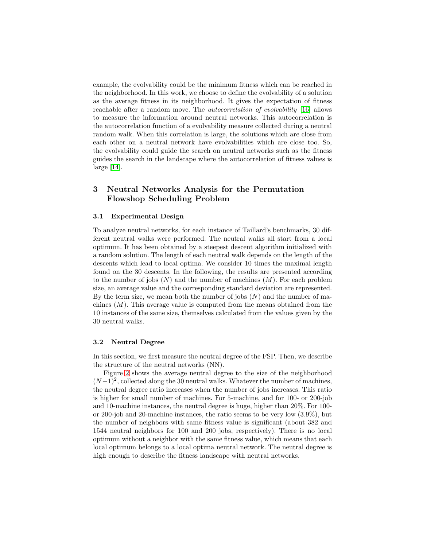example, the evolvability could be the minimum fitness which can be reached in the neighborhood. In this work, we choose to define the evolvability of a solution as the average fitness in its neighborhood. It gives the expectation of fitness reachable after a random move. The autocorrelation of evolvability [\[16\]](#page-14-8) allows to measure the information around neutral networks. This autocorrelation is the autocorrelation function of a evolvability measure collected during a neutral random walk. When this correlation is large, the solutions which are close from each other on a neutral network have evolvabilities which are close too. So, the evolvability could guide the search on neutral networks such as the fitness guides the search in the landscape where the autocorrelation of fitness values is large [\[14\]](#page-14-6).

# <span id="page-5-0"></span>3 Neutral Networks Analysis for the Permutation Flowshop Scheduling Problem

#### 3.1 Experimental Design

To analyze neutral networks, for each instance of Taillard's benchmarks, 30 different neutral walks were performed. The neutral walks all start from a local optimum. It has been obtained by a steepest descent algorithm initialized with a random solution. The length of each neutral walk depends on the length of the descents which lead to local optima. We consider 10 times the maximal length found on the 30 descents. In the following, the results are presented according to the number of jobs  $(N)$  and the number of machines  $(M)$ . For each problem size, an average value and the corresponding standard deviation are represented. By the term size, we mean both the number of jobs  $(N)$  and the number of machines  $(M)$ . This average value is computed from the means obtained from the 10 instances of the same size, themselves calculated from the values given by the 30 neutral walks.

#### <span id="page-5-1"></span>3.2 Neutral Degree

In this section, we first measure the neutral degree of the FSP. Then, we describe the structure of the neutral networks (NN).

Figure [2](#page-6-0) shows the average neutral degree to the size of the neighborhood  $(N-1)^2$ , collected along the 30 neutral walks. Whatever the number of machines, the neutral degree ratio increases when the number of jobs increases. This ratio is higher for small number of machines. For 5-machine, and for 100- or 200-job and 10-machine instances, the neutral degree is huge, higher than 20%. For 100 or 200-job and 20-machine instances, the ratio seems to be very low (3.9%), but the number of neighbors with same fitness value is significant (about 382 and 1544 neutral neighbors for 100 and 200 jobs, respectively). There is no local optimum without a neighbor with the same fitness value, which means that each local optimum belongs to a local optima neutral network. The neutral degree is high enough to describe the fitness landscape with neutral networks.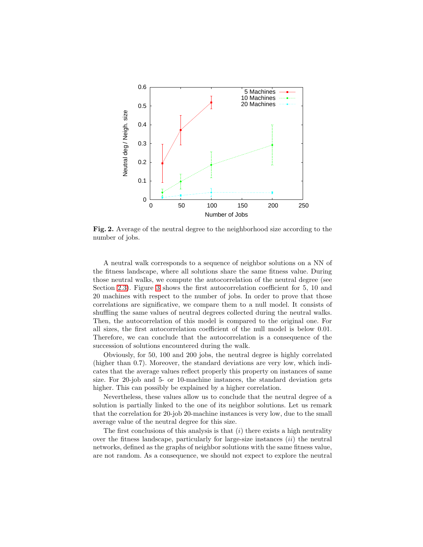

<span id="page-6-0"></span>Fig. 2. Average of the neutral degree to the neighborhood size according to the number of jobs.

A neutral walk corresponds to a sequence of neighbor solutions on a NN of the fitness landscape, where all solutions share the same fitness value. During those neutral walks, we compute the autocorrelation of the neutral degree (see Section [2.3\)](#page-4-0). Figure [3](#page-7-0) shows the first autocorrelation coefficient for 5, 10 and 20 machines with respect to the number of jobs. In order to prove that those correlations are significative, we compare them to a null model. It consists of shuffling the same values of neutral degrees collected during the neutral walks. Then, the autocorrelation of this model is compared to the original one. For all sizes, the first autocorrelation coefficient of the null model is below 0.01. Therefore, we can conclude that the autocorrelation is a consequence of the succession of solutions encountered during the walk.

Obviously, for 50, 100 and 200 jobs, the neutral degree is highly correlated (higher than 0.7). Moreover, the standard deviations are very low, which indicates that the average values reflect properly this property on instances of same size. For 20-job and 5- or 10-machine instances, the standard deviation gets higher. This can possibly be explained by a higher correlation.

Nevertheless, these values allow us to conclude that the neutral degree of a solution is partially linked to the one of its neighbor solutions. Let us remark that the correlation for 20-job 20-machine instances is very low, due to the small average value of the neutral degree for this size.

The first conclusions of this analysis is that  $(i)$  there exists a high neutrality over the fitness landscape, particularly for large-size instances  $(ii)$  the neutral networks, defined as the graphs of neighbor solutions with the same fitness value, are not random. As a consequence, we should not expect to explore the neutral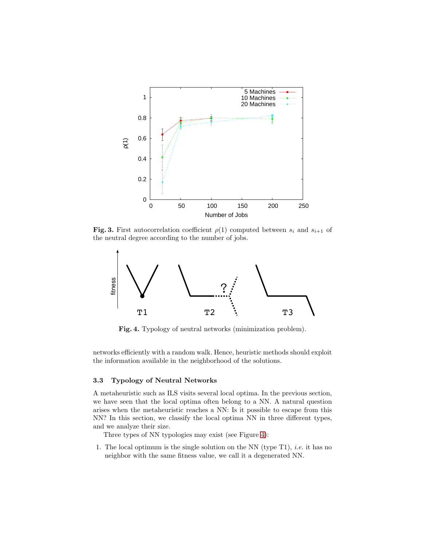

Fig. 3. First autocorrelation coefficient  $\rho(1)$  computed between  $s_i$  and  $s_{i+1}$  of the neutral degree according to the number of jobs.

<span id="page-7-0"></span>

<span id="page-7-1"></span>Fig. 4. Typology of neutral networks (minimization problem).

networks efficiently with a random walk. Hence, heuristic methods should exploit the information available in the neighborhood of the solutions.

#### 3.3 Typology of Neutral Networks

A metaheuristic such as ILS visits several local optima. In the previous section, we have seen that the local optima often belong to a NN. A natural question arises when the metaheuristic reaches a NN: Is it possible to escape from this NN? In this section, we classify the local optima NN in three different types, and we analyze their size.

Three types of NN typologies may exist (see Figure [4\)](#page-7-1):

1. The local optimum is the single solution on the NN (type  $T1$ ), *i.e.* it has no neighbor with the same fitness value, we call it a degenerated NN.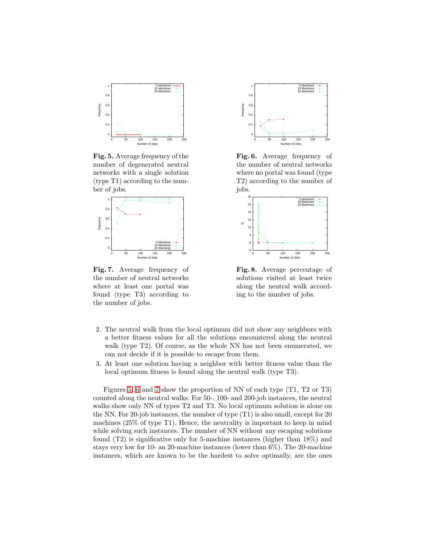

<span id="page-8-0"></span>Fig. 5. Average frequency of the number of degenerated neutral networks with a single solution (type T1) according to the number of jobs.



<span id="page-8-2"></span>Fig. 7. Average frequency of the number of neutral networks where at least one portal was found (type T3) according to the number of jobs.



<span id="page-8-1"></span>Fig. 6. Average frequency of the number of neutral networks where no portal was found (type T2) according to the number of jobs.



<span id="page-8-3"></span>Fig. 8. Average percentage of solutions visited at least twice along the neutral walk according to the number of jobs.

- 2. The neutral walk from the local optimum did not show any neighbors with a better fitness values for all the solutions encountered along the neutral walk (type T2). Of course, as the whole NN has not been enumerated, we can not decide if it is possible to escape from them.
- 3. At least one solution having a neighbor with better fitness value than the local optimum fitness is found along the neutral walk (type T3).

Figures [5,](#page-8-0) [6](#page-8-1) and [7](#page-8-2) show the proportion of NN of each type (T1, T2 or T3) counted along the neutral walks. For 50-, 100- and 200-job instances, the neutral walks show only NN of types T2 and T3. No local optimum solution is alone on the NN. For 20-job instances, the number of type (T1) is also small, except for 20 machines (25% of type T1). Hence, the neutrality is important to keep in mind while solving such instances. The number of NN without any escaping solutions found  $(T2)$  is significative only for 5-machine instances (higher than  $18\%$ ) and stays very low for 10- an 20-machine instances (lower than 6%). The 20-machine instances, which are known to be the hardest to solve optimally, are the ones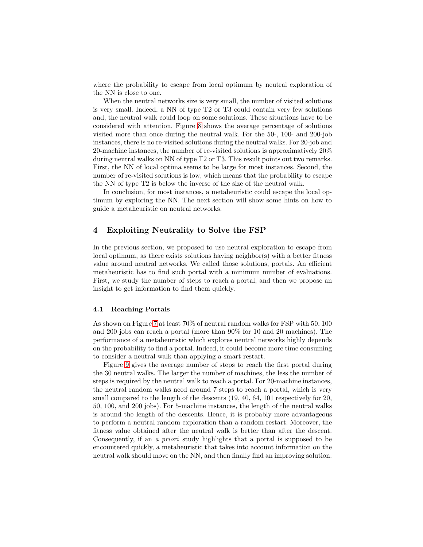where the probability to escape from local optimum by neutral exploration of the NN is close to one.

When the neutral networks size is very small, the number of visited solutions is very small. Indeed, a NN of type T2 or T3 could contain very few solutions and, the neutral walk could loop on some solutions. These situations have to be considered with attention. Figure [8](#page-8-3) shows the average percentage of solutions visited more than once during the neutral walk. For the 50-, 100- and 200-job instances, there is no re-visited solutions during the neutral walks. For 20-job and 20-machine instances, the number of re-visited solutions is approximatively 20% during neutral walks on NN of type T2 or T3. This result points out two remarks. First, the NN of local optima seems to be large for most instances. Second, the number of re-visited solutions is low, which means that the probability to escape the NN of type T2 is below the inverse of the size of the neutral walk.

In conclusion, for most instances, a metaheuristic could escape the local optimum by exploring the NN. The next section will show some hints on how to guide a metaheuristic on neutral networks.

# <span id="page-9-0"></span>4 Exploiting Neutrality to Solve the FSP

In the previous section, we proposed to use neutral exploration to escape from local optimum, as there exists solutions having neighbor(s) with a better fitness value around neutral networks. We called those solutions, portals. An efficient metaheuristic has to find such portal with a minimum number of evaluations. First, we study the number of steps to reach a portal, and then we propose an insight to get information to find them quickly.

#### <span id="page-9-1"></span>4.1 Reaching Portals

As shown on Figure [7](#page-8-2) at least 70% of neutral random walks for FSP with 50, 100 and 200 jobs can reach a portal (more than 90% for 10 and 20 machines). The performance of a metaheuristic which explores neutral networks highly depends on the probability to find a portal. Indeed, it could become more time consuming to consider a neutral walk than applying a smart restart.

Figure [9](#page-10-0) gives the average number of steps to reach the first portal during the 30 neutral walks. The larger the number of machines, the less the number of steps is required by the neutral walk to reach a portal. For 20-machine instances, the neutral random walks need around 7 steps to reach a portal, which is very small compared to the length of the descents (19, 40, 64, 101 respectively for 20, 50, 100, and 200 jobs). For 5-machine instances, the length of the neutral walks is around the length of the descents. Hence, it is probably more advantageous to perform a neutral random exploration than a random restart. Moreover, the fitness value obtained after the neutral walk is better than after the descent. Consequently, if an a priori study highlights that a portal is supposed to be encountered quickly, a metaheuristic that takes into account information on the neutral walk should move on the NN, and then finally find an improving solution.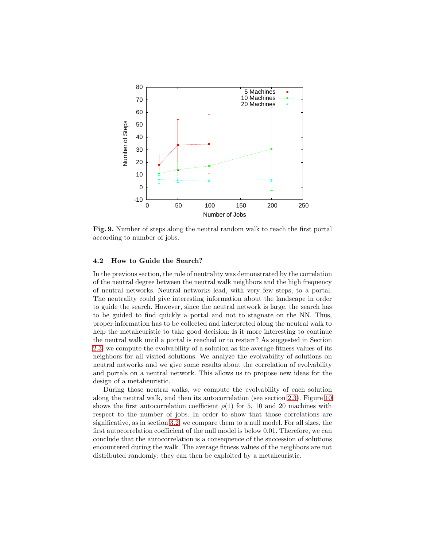

<span id="page-10-0"></span>Fig. 9. Number of steps along the neutral random walk to reach the first portal according to number of jobs.

#### 4.2 How to Guide the Search?

In the previous section, the role of neutrality was demonstrated by the correlation of the neutral degree between the neutral walk neighbors and the high frequency of neutral networks. Neutral networks lead, with very few steps, to a portal. The neutrality could give interesting information about the landscape in order to guide the search. However, since the neutral network is large, the search has to be guided to find quickly a portal and not to stagnate on the NN. Thus, proper information has to be collected and interpreted along the neutral walk to help the metaheuristic to take good decision: Is it more interesting to continue the neutral walk until a portal is reached or to restart? As suggested in Section [2.3,](#page-4-0) we compute the evolvability of a solution as the average fitness values of its neighbors for all visited solutions. We analyze the evolvability of solutions on neutral networks and we give some results about the correlation of evolvability and portals on a neutral network. This allows us to propose new ideas for the design of a metaheuristic.

During those neutral walks, we compute the evolvability of each solution along the neutral walk, and then its autocorrelation (see section [2.3\)](#page-4-0). Figure [10](#page-11-0) shows the first autocorrelation coefficient  $\rho(1)$  for 5, 10 and 20 machines with respect to the number of jobs. In order to show that those correlations are significative, as in section [3.2,](#page-5-1) we compare them to a null model. For all sizes, the first autocorrelation coefficient of the null model is below 0.01. Therefore, we can conclude that the autocorrelation is a consequence of the succession of solutions encountered during the walk. The average fitness values of the neighbors are not distributed randomly: they can then be exploited by a metaheuristic.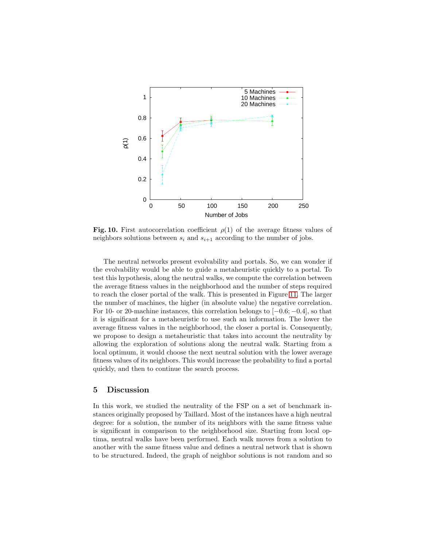

<span id="page-11-0"></span>Fig. 10. First autocorrelation coefficient  $\rho(1)$  of the average fitness values of neighbors solutions between  $s_i$  and  $s_{i+1}$  according to the number of jobs.

The neutral networks present evolvability and portals. So, we can wonder if the evolvability would be able to guide a metaheuristic quickly to a portal. To test this hypothesis, along the neutral walks, we compute the correlation between the average fitness values in the neighborhood and the number of steps required to reach the closer portal of the walk. This is presented in Figure [11.](#page-12-0) The larger the number of machines, the higher (in absolute value) the negative correlation. For 10- or 20-machine instances, this correlation belongs to  $[-0.6; -0.4]$ , so that it is significant for a metaheuristic to use such an information. The lower the average fitness values in the neighborhood, the closer a portal is. Consequently, we propose to design a metaheuristic that takes into account the neutrality by allowing the exploration of solutions along the neutral walk. Starting from a local optimum, it would choose the next neutral solution with the lower average fitness values of its neighbors. This would increase the probability to find a portal quickly, and then to continue the search process.

#### 5 Discussion

In this work, we studied the neutrality of the FSP on a set of benchmark instances originally proposed by Taillard. Most of the instances have a high neutral degree: for a solution, the number of its neighbors with the same fitness value is significant in comparison to the neighborhood size. Starting from local optima, neutral walks have been performed. Each walk moves from a solution to another with the same fitness value and defines a neutral network that is shown to be structured. Indeed, the graph of neighbor solutions is not random and so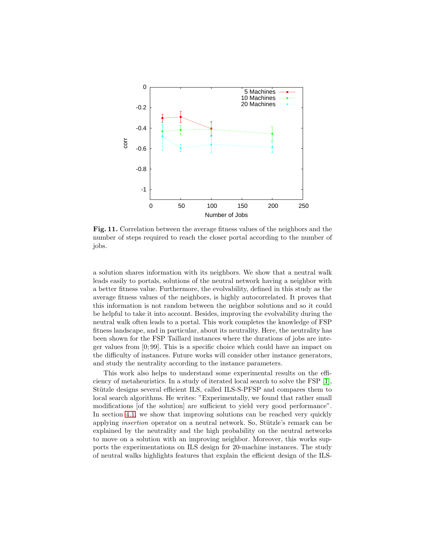

<span id="page-12-0"></span>Fig. 11. Correlation between the average fitness values of the neighbors and the number of steps required to reach the closer portal according to the number of jobs.

a solution shares information with its neighbors. We show that a neutral walk leads easily to portals, solutions of the neutral network having a neighbor with a better fitness value. Furthermore, the evolvability, defined in this study as the average fitness values of the neighbors, is highly autocorrelated. It proves that this information is not random between the neighbor solutions and so it could be helpful to take it into account. Besides, improving the evolvability during the neutral walk often leads to a portal. This work completes the knowledge of FSP fitness landscape, and in particular, about its neutrality. Here, the neutrality has been shown for the FSP Taillard instances where the durations of jobs are integer values from [0; 99]. This is a specific choice which could have an impact on the difficulty of instances. Future works will consider other instance generators, and study the neutrality according to the instance parameters.

This work also helps to understand some experimental results on the efficiency of metaheuristics. In a study of iterated local search to solve the FSP [\[1\]](#page-13-0), Stützle designs several efficient ILS, called ILS-S-PFSP and compares them to local search algorithms. He writes: "Experimentally, we found that rather small modifications [of the solution] are sufficient to yield very good performance". In section [4.1,](#page-9-1) we show that improving solutions can be reached very quickly applying *insertion* operator on a neutral network. So, Stützle's remark can be explained by the neutrality and the high probability on the neutral networks to move on a solution with an improving neighbor. Moreover, this works supports the experimentations on ILS design for 20-machine instances. The study of neutral walks highlights features that explain the efficient design of the ILS-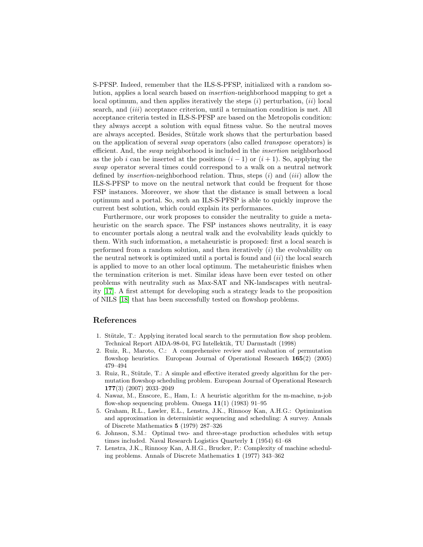S-PFSP. Indeed, remember that the ILS-S-PFSP, initialized with a random solution, applies a local search based on insertion-neighborhood mapping to get a local optimum, and then applies iteratively the steps  $(i)$  perturbation,  $(ii)$  local search, and *(iii)* acceptance criterion, until a termination condition is met. All acceptance criteria tested in ILS-S-PFSP are based on the Metropolis condition: they always accept a solution with equal fitness value. So the neutral moves are always accepted. Besides, Stützle work shows that the perturbation based on the application of several swap operators (also called transpose operators) is efficient. And, the swap neighborhood is included in the insertion neighborhood as the job i can be inserted at the positions  $(i - 1)$  or  $(i + 1)$ . So, applying the swap operator several times could correspond to a walk on a neutral network defined by *insertion*-neighborhood relation. Thus, steps  $(i)$  and  $(iii)$  allow the ILS-S-PFSP to move on the neutral network that could be frequent for those FSP instances. Moreover, we show that the distance is small between a local optimum and a portal. So, such an ILS-S-PFSP is able to quickly improve the current best solution, which could explain its performances.

Furthermore, our work proposes to consider the neutrality to guide a metaheuristic on the search space. The FSP instances shows neutrality, it is easy to encounter portals along a neutral walk and the evolvability leads quickly to them. With such information, a metaheuristic is proposed: first a local search is performed from a random solution, and then iteratively  $(i)$  the evolvability on the neutral network is optimized until a portal is found and  $(ii)$  the local search is applied to move to an other local optimum. The metaheuristic finishes when the termination criterion is met. Similar ideas have been ever tested on other problems with neutrality such as Max-SAT and NK-landscapes with neutrality [\[17\]](#page-14-9). A first attempt for developing such a strategy leads to the proposition of NILS [\[18\]](#page-14-10) that has been successfully tested on flowshop problems.

## <span id="page-13-0"></span>References

- 1. Stützle, T.: Applying iterated local search to the permutation flow shop problem. Technical Report AIDA-98-04, FG Intellektik, TU Darmstadt (1998)
- <span id="page-13-1"></span>2. Ruiz, R., Maroto, C.: A comprehensive review and evaluation of permutation flowshop heuristics. European Journal of Operational Research 165(2) (2005) 479–494
- <span id="page-13-2"></span>3. Ruiz, R., Stützle, T.: A simple and effective iterated greedy algorithm for the permutation flowshop scheduling problem. European Journal of Operational Research 177(3) (2007) 2033–2049
- <span id="page-13-3"></span>4. Nawaz, M., Enscore, E., Ham, I.: A heuristic algorithm for the m-machine, n-job flow-shop sequencing problem. Omega  $11(1)$  (1983) 91–95
- <span id="page-13-4"></span>5. Graham, R.L., Lawler, E.L., Lenstra, J.K., Rinnooy Kan, A.H.G.: Optimization and approximation in deterministic sequencing and scheduling: A survey. Annals of Discrete Mathematics 5 (1979) 287–326
- <span id="page-13-5"></span>6. Johnson, S.M.: Optimal two- and three-stage production schedules with setup times included. Naval Research Logistics Quarterly 1 (1954) 61–68
- <span id="page-13-6"></span>7. Lenstra, J.K., Rinnooy Kan, A.H.G., Brucker, P.: Complexity of machine scheduling problems. Annals of Discrete Mathematics 1 (1977) 343–362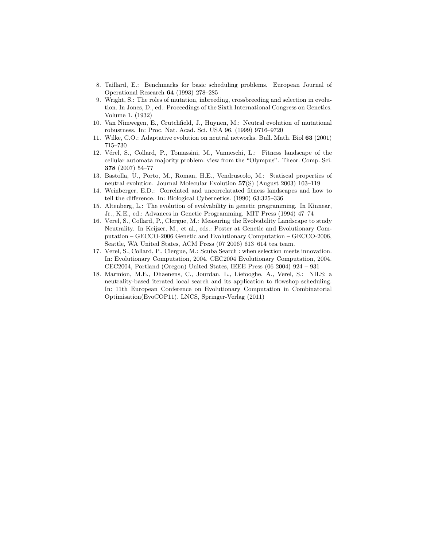- <span id="page-14-1"></span><span id="page-14-0"></span>8. Taillard, E.: Benchmarks for basic scheduling problems. European Journal of Operational Research 64 (1993) 278–285
- 9. Wright, S.: The roles of mutation, inbreeding, crossbreeding and selection in evolution. In Jones, D., ed.: Proceedings of the Sixth International Congress on Genetics. Volume 1. (1932)
- <span id="page-14-2"></span>10. Van Nimwegen, E., Crutchfield, J., Huynen, M.: Neutral evolution of mutational robustness. In: Proc. Nat. Acad. Sci. USA 96. (1999) 9716–9720
- <span id="page-14-4"></span><span id="page-14-3"></span>11. Wilke, C.O.: Adaptative evolution on neutral networks. Bull. Math. Biol 63 (2001) 715–730
- 12. V´erel, S., Collard, P., Tomassini, M., Vanneschi, L.: Fitness landscape of the cellular automata majority problem: view from the "Olympus". Theor. Comp. Sci. 378 (2007) 54–77
- <span id="page-14-6"></span><span id="page-14-5"></span>13. Bastolla, U., Porto, M., Roman, H.E., Vendruscolo, M.: Statiscal properties of neutral evolution. Journal Molecular Evolution 57(S) (August 2003) 103–119
- 14. Weinberger, E.D.: Correlated and uncorrelatated fitness landscapes and how to tell the difference. In: Biological Cybernetics. (1990) 63:325–336
- <span id="page-14-7"></span>15. Altenberg, L.: The evolution of evolvability in genetic programming. In Kinnear, Jr., K.E., ed.: Advances in Genetic Programming. MIT Press (1994) 47–74
- <span id="page-14-8"></span>16. Verel, S., Collard, P., Clergue, M.: Measuring the Evolvability Landscape to study Neutrality. In Keijzer, M., et al., eds.: Poster at Genetic and Evolutionary Computation – GECCO-2006 Genetic and Evolutionary Computation – GECCO-2006, Seattle, WA United States, ACM Press (07 2006) 613–614 tea team.
- <span id="page-14-9"></span>17. Verel, S., Collard, P., Clergue, M.: Scuba Search : when selection meets innovation. In: Evolutionary Computation, 2004. CEC2004 Evolutionary Computation, 2004. CEC2004, Portland (Oregon) United States, IEEE Press (06 2004) 924 – 931
- <span id="page-14-10"></span>18. Marmion, M.E., Dhaenens, C., Jourdan, L., Liefooghe, A., Verel, S.: NILS: a neutrality-based iterated local search and its application to flowshop scheduling. In: 11th European Conference on Evolutionary Computation in Combinatorial Optimisation(EvoCOP11). LNCS, Springer-Verlag (2011)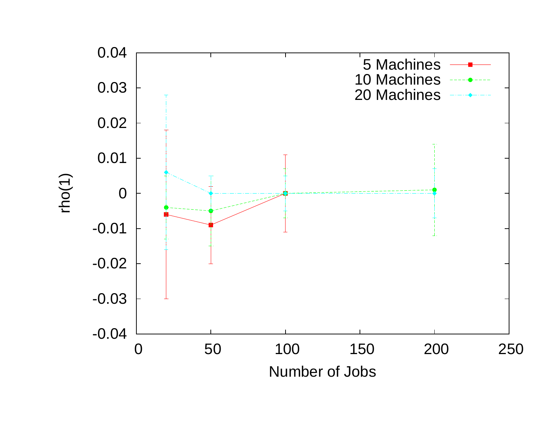

rho(1)